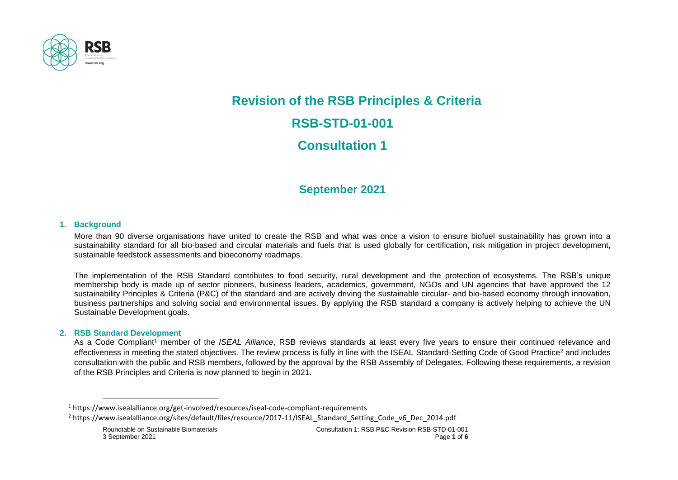

# **Revision of the RSB Principles & Criteria RSB-STD-01-001 Consultation 1**

# **September 2021**

## **1. Background**

More than 90 diverse organisations have united to create the RSB and what was once a vision to ensure biofuel sustainability has grown into a sustainability standard for all bio-based and circular materials and fuels that is used globally for certification, risk mitigation in project development, sustainable feedstock assessments and bioeconomy roadmaps.

The implementation of the RSB Standard contributes to food security, rural development and the protection of ecosystems. The RSB's unique membership body is made up of sector pioneers, business leaders, academics, government, NGOs and UN agencies that have approved the 12 sustainability Principles & Criteria (P&C) of the standard and are actively driving the sustainable circular- and bio-based economy through innovation, business partnerships and solving social and environmental issues. By applying the RSB standard a company is actively helping to achieve the UN Sustainable Development goals.

#### **2. RSB Standard Development**

As a Code Compliant<sup>1</sup> member of the *ISEAL Alliance*, RSB reviews standards at least every five years to ensure their continued relevance and effectiveness in meeting the stated objectives. The review process is fully in line with the ISEAL Standard-Setting Code of Good Practice<sup>2</sup> and includes consultation with the public and RSB members, followed by the approval by the RSB Assembly of Delegates. Following these requirements, a revision of the RSB Principles and Criteria is now planned to begin in 2021.

<sup>2</sup> https://www.isealalliance.org/sites/default/files/resource/2017-11/ISEAL\_Standard\_Setting\_Code\_v6\_Dec\_2014.pdf

<sup>1</sup> https://www.isealalliance.org/get-involved/resources/iseal-code-compliant-requirements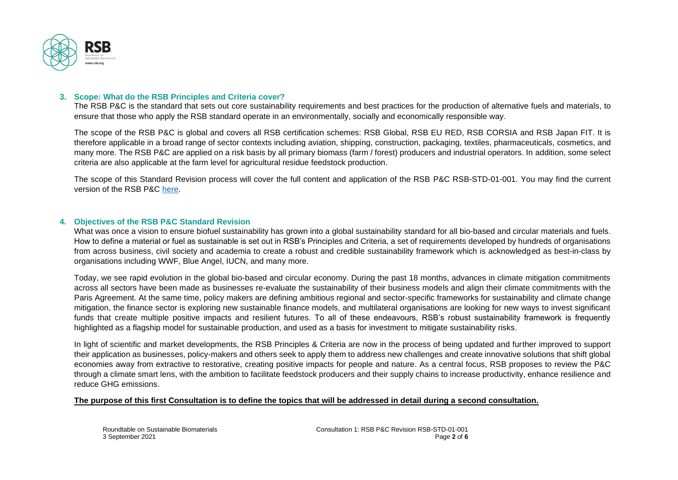

## **3. Scope: What do the RSB Principles and Criteria cover?**

The RSB P&C is the standard that sets out core sustainability requirements and best practices for the production of alternative fuels and materials, to ensure that those who apply the RSB standard operate in an environmentally, socially and economically responsible way.

The scope of the RSB P&C is global and covers all RSB certification schemes: RSB Global, RSB EU RED, RSB CORSIA and RSB Japan FIT. It is therefore applicable in a broad range of sector contexts including aviation, shipping, construction, packaging, textiles, pharmaceuticals, cosmetics, and many more. The RSB P&C are applied on a risk basis by all primary biomass (farm / forest) producers and industrial operators. In addition, some select criteria are also applicable at the farm level for agricultural residue feedstock production.

The scope of this Standard Revision process will cover the full content and application of the RSB P&C RSB-STD-01-001. You may find the current version of the RSB P&C [here.](https://rsb.org/wp-content/uploads/2020/06/RSB-STD-01-001_Principles_and_Criteria-DIGITAL.pdf)

#### **4. Objectives of the RSB P&C Standard Revision**

What was once a vision to ensure biofuel sustainability has grown into a global sustainability standard for all bio-based and circular materials and fuels. How to define a material or fuel as sustainable is set out in RSB's Principles and Criteria, a set of requirements developed by hundreds of organisations from across business, civil society and academia to create a robust and credible sustainability framework which is acknowledged as best-in-class by organisations including WWF, Blue Angel, IUCN, and many more.

Today, we see rapid evolution in the global bio-based and circular economy. During the past 18 months, advances in climate mitigation commitments across all sectors have been made as businesses re-evaluate the sustainability of their business models and align their climate commitments with the Paris Agreement. At the same time, policy makers are defining ambitious regional and sector-specific frameworks for sustainability and climate change mitigation, the finance sector is exploring new sustainable finance models, and multilateral organisations are looking for new ways to invest significant funds that create multiple positive impacts and resilient futures. To all of these endeavours, RSB's robust sustainability framework is frequently highlighted as a flagship model for sustainable production, and used as a basis for investment to mitigate sustainability risks.

In light of scientific and market developments, the RSB Principles & Criteria are now in the process of being updated and further improved to support their application as businesses, policy-makers and others seek to apply them to address new challenges and create innovative solutions that shift global economies away from extractive to restorative, creating positive impacts for people and nature. As a central focus, RSB proposes to review the P&C through a climate smart lens, with the ambition to facilitate feedstock producers and their supply chains to increase productivity, enhance resilience and reduce GHG emissions.

#### **The purpose of this first Consultation is to define the topics that will be addressed in detail during a second consultation.**

Roundtable on Sustainable Biomaterials Consultation 1: RSB P&C Revision RSB-STD-01-001 3 September 2021 Page **2** of **6**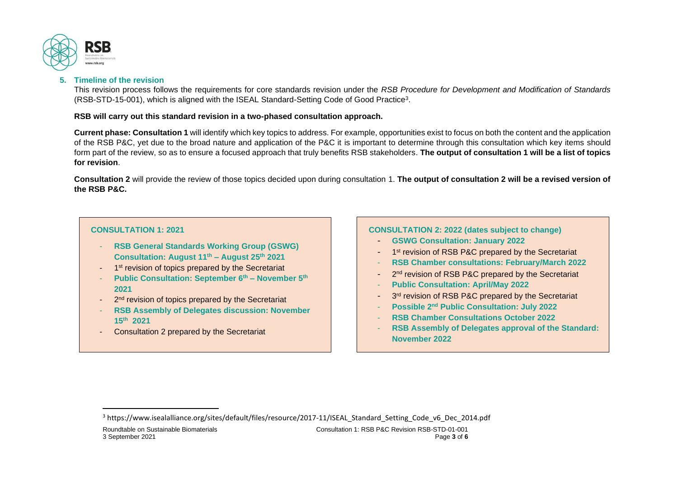

# **5. Timeline of the revision**

This revision process follows the requirements for core standards revision under the *RSB Procedure for Development and Modification of Standards* (RSB-STD-15-001), which is aligned with the ISEAL Standard-Setting Code of Good Practice<sup>3</sup> .

# **RSB will carry out this standard revision in a two-phased consultation approach.**

**Current phase: Consultation 1** will identify which key topics to address. For example, opportunities exist to focus on both the content and the application of the RSB P&C, yet due to the broad nature and application of the P&C it is important to determine through this consultation which key items should form part of the review, so as to ensure a focused approach that truly benefits RSB stakeholders. **The output of consultation 1 will be a list of topics for revision**.

**Consultation 2** will provide the review of those topics decided upon during consultation 1. **The output of consultation 2 will be a revised version of the RSB P&C.**

# **CONSULTATION 1: 2021**

- **RSB General Standards Working Group (GSWG) Consultation: August 11th – August 25th 2021**
- 1<sup>st</sup> revision of topics prepared by the Secretariat
- **Public Consultation: September 6th – November 5th 2021**
- 2<sup>nd</sup> revision of topics prepared by the Secretariat
- **RSB Assembly of Delegates discussion: November 15th 2021**
- Consultation 2 prepared by the Secretariat

# **CONSULTATION 2: 2022 (dates subject to change)**

- **GSWG Consultation: January 2022**
- 1<sup>st</sup> revision of RSB P&C prepared by the Secretariat
- **RSB Chamber consultations: February/March 2022**
- 2<sup>nd</sup> revision of RSB P&C prepared by the Secretariat
- **Public Consultation: April/May 2022**
- 3<sup>rd</sup> revision of RSB P&C prepared by the Secretariat
- **Possible 2nd Public Consultation: July 2022**
- **RSB Chamber Consultations October 2022**
- **RSB Assembly of Delegates approval of the Standard: November 2022**

<sup>3</sup> https://www.isealalliance.org/sites/default/files/resource/2017-11/ISEAL\_Standard\_Setting\_Code\_v6\_Dec\_2014.pdf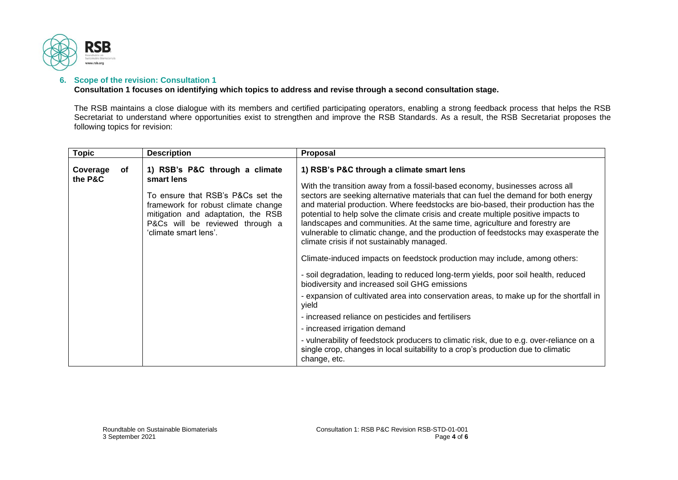

# **6. Scope of the revision: Consultation 1**

**Consultation 1 focuses on identifying which topics to address and revise through a second consultation stage.**

The RSB maintains a close dialogue with its members and certified participating operators, enabling a strong feedback process that helps the RSB Secretariat to understand where opportunities exist to strengthen and improve the RSB Standards. As a result, the RSB Secretariat proposes the following topics for revision:

| <b>Topic</b>              | <b>Description</b>                                                                                                                                                                                                         | Proposal                                                                                                                                                                                                                                                                                                                                                                                                                                                                                                                                                                                                                                                                                                                                                                        |
|---------------------------|----------------------------------------------------------------------------------------------------------------------------------------------------------------------------------------------------------------------------|---------------------------------------------------------------------------------------------------------------------------------------------------------------------------------------------------------------------------------------------------------------------------------------------------------------------------------------------------------------------------------------------------------------------------------------------------------------------------------------------------------------------------------------------------------------------------------------------------------------------------------------------------------------------------------------------------------------------------------------------------------------------------------|
| Coverage<br>of<br>the P&C | 1) RSB's P&C through a climate<br>smart lens<br>To ensure that RSB's P&Cs set the<br>framework for robust climate change<br>mitigation and adaptation, the RSB<br>P&Cs will be reviewed through a<br>'climate smart lens'. | 1) RSB's P&C through a climate smart lens<br>With the transition away from a fossil-based economy, businesses across all<br>sectors are seeking alternative materials that can fuel the demand for both energy<br>and material production. Where feedstocks are bio-based, their production has the<br>potential to help solve the climate crisis and create multiple positive impacts to<br>landscapes and communities. At the same time, agriculture and forestry are<br>vulnerable to climatic change, and the production of feedstocks may exasperate the<br>climate crisis if not sustainably managed.<br>Climate-induced impacts on feedstock production may include, among others:<br>- soil degradation, leading to reduced long-term yields, poor soil health, reduced |
|                           |                                                                                                                                                                                                                            | biodiversity and increased soil GHG emissions                                                                                                                                                                                                                                                                                                                                                                                                                                                                                                                                                                                                                                                                                                                                   |
|                           |                                                                                                                                                                                                                            | - expansion of cultivated area into conservation areas, to make up for the shortfall in<br>vield                                                                                                                                                                                                                                                                                                                                                                                                                                                                                                                                                                                                                                                                                |
|                           |                                                                                                                                                                                                                            | - increased reliance on pesticides and fertilisers                                                                                                                                                                                                                                                                                                                                                                                                                                                                                                                                                                                                                                                                                                                              |
|                           |                                                                                                                                                                                                                            | - increased irrigation demand                                                                                                                                                                                                                                                                                                                                                                                                                                                                                                                                                                                                                                                                                                                                                   |
|                           |                                                                                                                                                                                                                            | - vulnerability of feedstock producers to climatic risk, due to e.g. over-reliance on a<br>single crop, changes in local suitability to a crop's production due to climatic<br>change, etc.                                                                                                                                                                                                                                                                                                                                                                                                                                                                                                                                                                                     |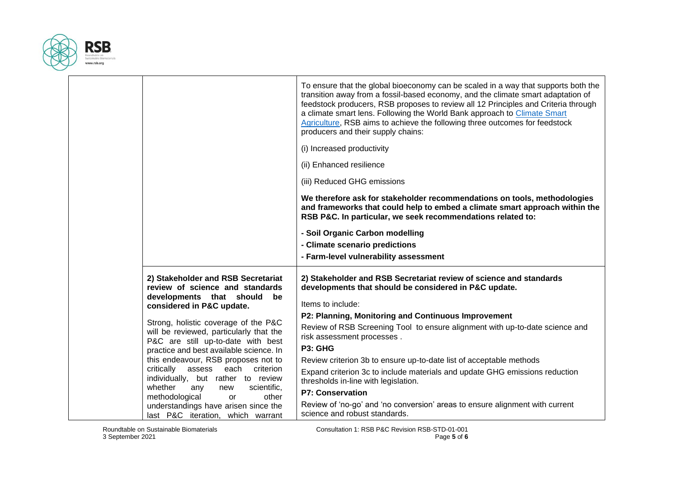

|                                                                                                         | To ensure that the global bioeconomy can be scaled in a way that supports both the<br>transition away from a fossil-based economy, and the climate smart adaptation of<br>feedstock producers, RSB proposes to review all 12 Principles and Criteria through<br>a climate smart lens. Following the World Bank approach to Climate Smart<br>Agriculture, RSB aims to achieve the following three outcomes for feedstock<br>producers and their supply chains: |
|---------------------------------------------------------------------------------------------------------|---------------------------------------------------------------------------------------------------------------------------------------------------------------------------------------------------------------------------------------------------------------------------------------------------------------------------------------------------------------------------------------------------------------------------------------------------------------|
|                                                                                                         | (i) Increased productivity                                                                                                                                                                                                                                                                                                                                                                                                                                    |
|                                                                                                         | (ii) Enhanced resilience                                                                                                                                                                                                                                                                                                                                                                                                                                      |
|                                                                                                         | (iii) Reduced GHG emissions                                                                                                                                                                                                                                                                                                                                                                                                                                   |
|                                                                                                         | We therefore ask for stakeholder recommendations on tools, methodologies<br>and frameworks that could help to embed a climate smart approach within the<br>RSB P&C. In particular, we seek recommendations related to:                                                                                                                                                                                                                                        |
|                                                                                                         | - Soil Organic Carbon modelling                                                                                                                                                                                                                                                                                                                                                                                                                               |
|                                                                                                         | - Climate scenario predictions                                                                                                                                                                                                                                                                                                                                                                                                                                |
|                                                                                                         | - Farm-level vulnerability assessment                                                                                                                                                                                                                                                                                                                                                                                                                         |
| 2) Stakeholder and RSB Secretariat<br>review of science and standards<br>developments that should<br>be | 2) Stakeholder and RSB Secretariat review of science and standards<br>developments that should be considered in P&C update.                                                                                                                                                                                                                                                                                                                                   |
| considered in P&C update.                                                                               | Items to include:                                                                                                                                                                                                                                                                                                                                                                                                                                             |
| Strong, holistic coverage of the P&C                                                                    | P2: Planning, Monitoring and Continuous Improvement                                                                                                                                                                                                                                                                                                                                                                                                           |
| will be reviewed, particularly that the<br>P&C are still up-to-date with best                           | Review of RSB Screening Tool to ensure alignment with up-to-date science and<br>risk assessment processes.                                                                                                                                                                                                                                                                                                                                                    |
| practice and best available science. In                                                                 | P3: GHG                                                                                                                                                                                                                                                                                                                                                                                                                                                       |
| this endeavour, RSB proposes not to                                                                     | Review criterion 3b to ensure up-to-date list of acceptable methods                                                                                                                                                                                                                                                                                                                                                                                           |
| critically<br>assess<br>each<br>criterion<br>individually, but rather to review                         | Expand criterion 3c to include materials and update GHG emissions reduction<br>thresholds in-line with legislation.                                                                                                                                                                                                                                                                                                                                           |
| whether<br>scientific,<br>any<br>new<br>methodological<br>other<br>or                                   | <b>P7: Conservation</b>                                                                                                                                                                                                                                                                                                                                                                                                                                       |
| understandings have arisen since the<br>last P&C iteration, which warrant                               | Review of 'no-go' and 'no conversion' areas to ensure alignment with current<br>science and robust standards.                                                                                                                                                                                                                                                                                                                                                 |